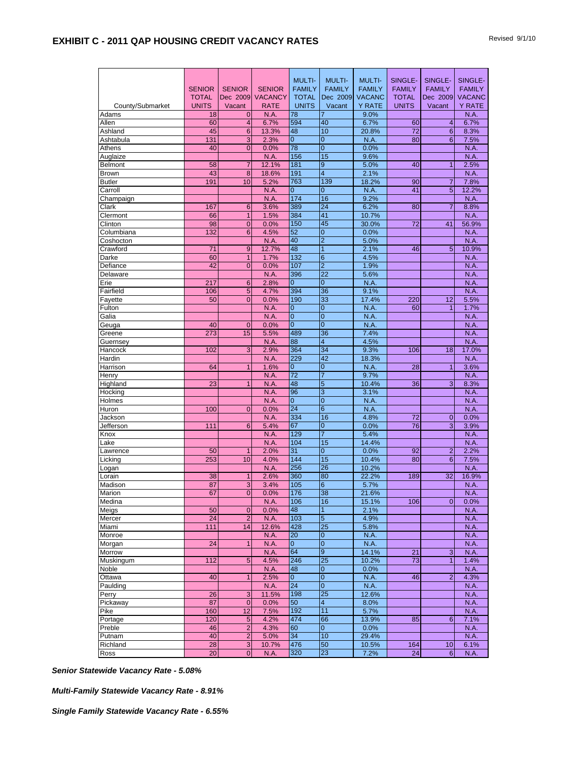|                      |               |                |                | <b>MULTI-</b>         | <b>MULTI-</b>        | <b>MULTI-</b> | SINGLE-       | SINGLE-          | SINGLE-       |
|----------------------|---------------|----------------|----------------|-----------------------|----------------------|---------------|---------------|------------------|---------------|
|                      | <b>SENIOR</b> | <b>SENIOR</b>  | <b>SENIOR</b>  | <b>FAMILY</b>         | <b>FAMILY</b>        | <b>FAMILY</b> | <b>FAMILY</b> | <b>FAMILY</b>    | <b>FAMILY</b> |
|                      | <b>TOTAL</b>  | Dec 2009       | <b>VACANCY</b> | <b>TOTAL</b>          | Dec 2009             | <b>VACANC</b> | <b>TOTAL</b>  | Dec 2009         | <b>VACANC</b> |
| County/Submarket     | <b>UNITS</b>  | Vacant         | <b>RATE</b>    | <b>UNITS</b>          | Vacant               | <b>Y RATE</b> | <b>UNITS</b>  | Vacant           | <b>Y RATE</b> |
| Adams                | 18            | $\mathbf 0$    | N.A.           | 78                    |                      | 9.0%          |               |                  | N.A.          |
| Allen                | 60            | $\overline{4}$ | 6.7%           | 594                   | 40                   | 6.7%          | 60            | 4                | 6.7%          |
| Ashland              | 45            | $6\phantom{1}$ | 13.3%          | 48                    | 10                   | 20.8%         | 72            | 6                | 8.3%          |
| Ashtabula            | 131           | 3              | 2.3%           | $\overline{0}$        | $\overline{0}$       | N.A.          | 80            | 6                | 7.5%          |
| Athens               | 40            | $\mathbf{0}$   | 0.0%           | 78                    | $\overline{0}$       | 0.0%          |               |                  | N.A.          |
| Auglaize             |               |                | N.A.           | 156                   | 15                   | 9.6%          |               |                  | N.A.          |
| <b>Belmont</b>       | 58            | $\overline{7}$ | 12.1%          | 181                   | 9                    | 5.0%          | 40            | $\overline{1}$   | 2.5%          |
| <b>Brown</b>         | 43<br>191     | 8<br>10        | 18.6%<br>5.2%  | 191                   | $\overline{4}$       | 2.1%          |               |                  | N.A.<br>7.8%  |
| <b>Butler</b>        |               |                |                | 763<br>$\overline{0}$ | 139<br>0             | 18.2%         | 90<br>41      | 7<br>5           | 12.2%         |
| Carroll<br>Champaign |               |                | N.A.<br>N.A.   | 174                   | 16                   | N.A.<br>9.2%  |               |                  | N.A.          |
| Clark                | 167           | $6\phantom{1}$ | 3.6%           | 389                   | 24                   | 6.2%          | 80            | $\overline{7}$   | 8.8%          |
| Clermont             | 66            | $\mathbf{1}$   | 1.5%           | 384                   | 41                   | 10.7%         |               |                  | N.A.          |
| Clinton              | 98            | $\mathbf 0$    | 0.0%           | 150                   | 45                   | 30.0%         | 72            | 41               | 56.9%         |
| Columbiana           | 132           | $6\phantom{1}$ | 4.5%           | 52                    | 0                    | 0.0%          |               |                  | <b>N.A.</b>   |
| Coshocton            |               |                | N.A.           | 40                    | $\overline{2}$       | 5.0%          |               |                  | N.A.          |
| Crawford             | 71            | 9              | 12.7%          | 48                    | 1                    | 2.1%          | 46            | 5                | 10.9%         |
| Darke                | 60            | $\mathbf{1}$   | 1.7%           | 132                   | 6                    | 4.5%          |               |                  | N.A.          |
| Defiance             | 42            | $\mathbf{0}$   | 0.0%           | 107                   | $\overline{2}$       | 1.9%          |               |                  | N.A.          |
| Delaware             |               |                | N.A.           | 396                   | 22                   | 5.6%          |               |                  | N.A.          |
| Erie                 | 217           | 6              | 2.8%           | $\Omega$              | $\Omega$             | N.A.          |               |                  | N.A.          |
| Fairfield            | 106           | $\overline{5}$ | 4.7%           | 394                   | 36                   | 9.1%          |               |                  | N.A.          |
| Fayette              | 50            | $\overline{0}$ | 0.0%           | 190                   | 33                   | 17.4%         | 220           | 12               | 5.5%          |
| Fulton               |               |                | N.A.           | 0                     | 0                    | N.A.          | 60            | 1                | 1.7%          |
| Galia                |               |                | N.A.           | $\overline{0}$        | $\overline{0}$       | N.A.          |               |                  | N.A.          |
| Geuga                | 40            | $\mathbf{0}$   | 0.0%           | 0                     | $\overline{0}$       | N.A.          |               |                  | N.A.          |
| Greene               | 273           | 15             | 5.5%           | 489                   | 36                   | 7.4%          |               |                  | N.A.          |
| Guernsey             |               |                | N.A.           | 88                    | 4                    | 4.5%          |               |                  | N.A.          |
| Hancock              | 102           | 3              | 2.9%           | 364                   | 34                   | 9.3%          | 106           | 18               | 17.0%         |
| Hardin               | 64            | $\mathbf{1}$   | N.A.           | 229                   | 42<br>$\overline{0}$ | 18.3%         |               | $\mathbf{1}$     | N.A.<br>3.6%  |
| Harrison<br>Henry    |               |                | 1.6%<br>N.A.   | $\mathbf 0$<br>72     | $\overline{7}$       | N.A.<br>9.7%  | 28            |                  | N.A.          |
| Highland             | 23            | $\overline{1}$ | N.A.           | 48                    | 5                    | 10.4%         | 36            | 3                | 8.3%          |
| Hocking              |               |                | N.A.           | 96                    | 3                    | 3.1%          |               |                  | N.A.          |
| Holmes               |               |                | N.A.           | $\overline{0}$        | $\overline{0}$       | N.A.          |               |                  | N.A.          |
| Huron                | 100           | $\overline{0}$ | 0.0%           | 24                    | 6                    | N.A.          |               |                  | N.A.          |
| Jackson              |               |                | N.A.           | 334                   | 16                   | 4.8%          | 72            | $\mathbf{0}$     | 0.0%          |
| Jefferson            | 111           | 6              | 5.4%           | 67                    | 0                    | 0.0%          | 76            | 3                | 3.9%          |
| Knox                 |               |                | N.A.           | 129                   |                      | 5.4%          |               |                  | N.A.          |
| Lake                 |               |                | N.A.           | 104                   | 15                   | 14.4%         |               |                  | N.A.          |
| Lawrence             | 50            | $\overline{1}$ | 2.0%           | 31                    | 0                    | 0.0%          | 92            | $\overline{2}$   | 2.2%          |
| Licking              | 253           | 10             | 4.0%           | 144                   | 15                   | 10.4%         | 80            | 6                | 7.5%          |
| Logan                |               |                | N.A.           | 256                   | 26                   | 10.2%         |               |                  | N.A.          |
| Lorain               | 38            | $\mathbf{1}$   | 2.6%           | 360                   | 80                   | 22.2%         | 189           | 32               | 16.9%         |
| Madison              | 87            | 3              | 3.4%           | 105                   | 6                    | 5.7%          |               |                  | N.A.          |
| Marion               | 67            | $\overline{0}$ | 0.0%           | 176                   | 38                   | 21.6%         |               |                  | N.A.          |
| Medina               |               |                | N.A.           | 106                   | 16                   | 15.1%         | 106           | $\overline{0}$   | 0.0%          |
| Meigs                | 50            | $\mathbf{0}$   | 0.0%           | 48                    | 1                    | 2.1%          |               |                  | N.A.          |
| Mercer<br>Miami      | 24<br>111     | $\overline{2}$ | N.A.           | 103                   | 5                    | 4.9%          |               |                  | N.A.          |
|                      |               | 14             | 12.6%          | 428                   | 25                   | 5.8%          |               |                  | N.A.          |
| Monroe<br>Morgan     | 24            | $\overline{1}$ | N.A.<br>N.A.   | 20<br>0               | 0<br>$\mathbf{0}$    | N.A.<br>N.A.  |               |                  | N.A.<br>N.A.  |
| Morrow               |               |                | N.A.           | 64                    | 9                    | 14.1%         | 21            | 3                | <b>N.A.</b>   |
| Muskingum            | 112           | 5              | 4.5%           | 246                   | 25                   | 10.2%         | 73            | 1                | 1.4%          |
| Noble                |               |                | N.A.           | 48                    | $\mathbf{0}$         | 0.0%          |               |                  | N.A.          |
| Ottawa               | 40            | $\mathbf{1}$   | 2.5%           | $\overline{0}$        | $\mathbf 0$          | N.A.          | 46            | $\overline{2}$   | 4.3%          |
| Paulding             |               |                | N.A.           | 24                    | $\mathbf 0$          | N.A.          |               |                  | N.A.          |
| Perry                | 26            | 3              | 11.5%          | 198                   | 25                   | 12.6%         |               |                  | N.A.          |
| Pickaway             | 87            | $\overline{0}$ | 0.0%           | 50                    | 4                    | 8.0%          |               |                  | N.A.          |
| Pike                 | 160           | 12             | 7.5%           | 192                   | 11                   | 5.7%          |               |                  | N.A.          |
| Portage              | 120           | 5              | 4.2%           | 474                   | 66                   | 13.9%         | 85            | 6                | 7.1%          |
| Preble               | 46            | $\overline{2}$ | 4.3%           | 60                    | $\overline{0}$       | 0.0%          |               |                  | N.A.          |
| Putnam               | 40            | $\overline{2}$ | 5.0%           | 34                    | 10                   | 29.4%         |               |                  | N.A.          |
| Richland             | 28            | $\mathbf{3}$   | 10.7%          | 476                   | 50                   | 10.5%         | 164           | 10               | 6.1%          |
| Ross                 | 20            | $\overline{0}$ | N.A.           | 320                   | 23                   | 7.2%          | 24            | $6 \overline{6}$ | N.A.          |

*Senior Statewide Vacancy Rate - 5.08%*

*Multi-Family Statewide Vacancy Rate - 8.91%*